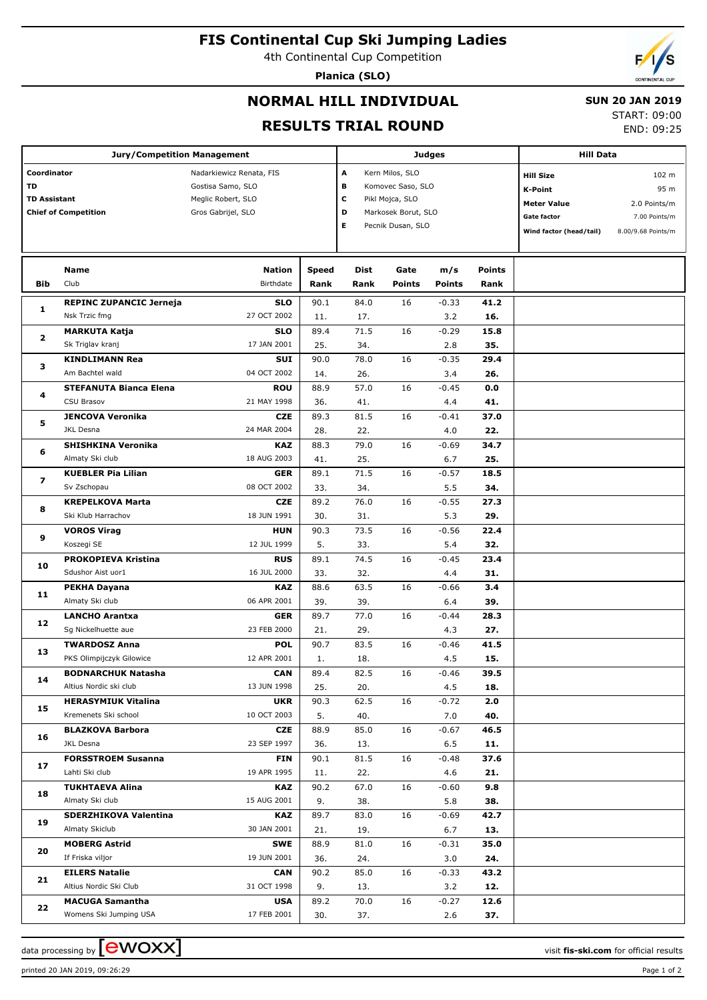# **FIS Continental Cup Ski Jumping Ladies**

4th Continental Cup Competition

**Planica (SLO)**

## **NORMAL HILL INDIVIDUAL**

#### **SUN 20 JAN 2019**

START: 09:00 END: 09:25

## **RESULTS TRIAL ROUND**

|                             | <b>Jury/Competition Management</b>              |                           |       | <b>Judges</b>       | <b>Hill Data</b>  |                    |               |                         |                    |
|-----------------------------|-------------------------------------------------|---------------------------|-------|---------------------|-------------------|--------------------|---------------|-------------------------|--------------------|
| Coordinator                 |                                                 | Nadarkiewicz Renata, FIS  |       | A                   | Kern Milos, SLO   |                    |               | <b>Hill Size</b>        | 102 m              |
| <b>TD</b>                   |                                                 | Gostisa Samo, SLO         |       | в                   | Komovec Saso, SLO |                    |               | 95 m                    |                    |
| <b>TD Assistant</b>         |                                                 | Meglic Robert, SLO        |       | С                   | Pikl Mojca, SLO   |                    |               | K-Point                 |                    |
| <b>Chief of Competition</b> |                                                 | Gros Gabrijel, SLO        | D     | Markosek Borut, SLO |                   | <b>Meter Value</b> | 2.0 Points/m  |                         |                    |
|                             |                                                 |                           |       | Е                   | Pecnik Dusan, SLO |                    |               | <b>Gate factor</b>      | 7.00 Points/m      |
|                             |                                                 |                           |       |                     |                   |                    |               | Wind factor (head/tail) | 8.00/9.68 Points/m |
|                             |                                                 |                           |       |                     |                   |                    |               |                         |                    |
|                             | Name                                            | <b>Nation</b>             | Speed | Dist                | Gate              | m/s                | <b>Points</b> |                         |                    |
| <b>Bib</b>                  | Club                                            | Birthdate                 | Rank  | Rank                | <b>Points</b>     | <b>Points</b>      | Rank          |                         |                    |
|                             |                                                 |                           |       |                     |                   |                    |               |                         |                    |
| 1                           | <b>REPINC ZUPANCIC Jerneja</b><br>Nsk Trzic fmg | <b>SLO</b><br>27 OCT 2002 | 90.1  | 84.0                | 16                | $-0.33$            | 41.2          |                         |                    |
|                             |                                                 |                           | 11.   | 17.                 |                   | 3.2                | 16.           |                         |                    |
| 2                           | <b>MARKUTA Katja</b>                            | <b>SLO</b>                | 89.4  | 71.5                | 16                | $-0.29$            | 15.8          |                         |                    |
|                             | Sk Triglav kranj                                | 17 JAN 2001               | 25.   | 34.                 |                   | 2.8                | 35.           |                         |                    |
| з                           | <b>KINDLIMANN Rea</b>                           | SUI                       | 90.0  | 78.0                | 16                | $-0.35$            | 29.4          |                         |                    |
|                             | Am Bachtel wald                                 | 04 OCT 2002               | 14.   | 26.                 |                   | 3.4                | 26.           |                         |                    |
| 4                           | <b>STEFANUTA Bianca Elena</b>                   | <b>ROU</b>                | 88.9  | 57.0                | 16                | $-0.45$            | 0.0           |                         |                    |
|                             | <b>CSU Brasov</b>                               | 21 MAY 1998               | 36.   | 41.                 |                   | 4.4                | 41.           |                         |                    |
| 5                           | <b>JENCOVA Veronika</b>                         | <b>CZE</b>                | 89.3  | 81.5                | 16                | $-0.41$            | 37.0          |                         |                    |
|                             | JKL Desna                                       | 24 MAR 2004               | 28.   | 22.                 |                   | 4.0                | 22.           |                         |                    |
| 6                           | <b>SHISHKINA Veronika</b>                       | <b>KAZ</b>                | 88.3  | 79.0                | 16                | $-0.69$            | 34.7          |                         |                    |
|                             | Almaty Ski club                                 | 18 AUG 2003               | 41.   | 25.                 |                   | 6.7                | 25.           |                         |                    |
| 7                           | <b>KUEBLER Pia Lilian</b>                       | <b>GER</b>                | 89.1  | 71.5                | 16                | $-0.57$            | 18.5          |                         |                    |
|                             | Sv Zschopau                                     | 08 OCT 2002               | 33.   | 34.                 |                   | 5.5                | 34.           |                         |                    |
| 8                           | <b>KREPELKOVA Marta</b>                         | <b>CZE</b>                | 89.2  | 76.0                | 16                | $-0.55$            | 27.3          |                         |                    |
|                             | Ski Klub Harrachov                              | 18 JUN 1991               | 30.   | 31.                 |                   | 5.3                | 29.           |                         |                    |
| 9                           | <b>VOROS Virag</b>                              | <b>HUN</b>                | 90.3  | 73.5                | 16                | $-0.56$            | 22.4          |                         |                    |
|                             | Koszegi SE                                      | 12 JUL 1999               | 5.    | 33.                 |                   | 5.4                | 32.           |                         |                    |
| 10                          | <b>PROKOPIEVA Kristina</b>                      | <b>RUS</b>                | 89.1  | 74.5                | 16                | $-0.45$            | 23.4          |                         |                    |
|                             | Sdushor Aist uor1                               | 16 JUL 2000               | 33.   | 32.                 |                   | 4.4                | 31.           |                         |                    |
| 11                          | <b>PEKHA Dayana</b>                             | <b>KAZ</b>                | 88.6  | 63.5                | 16                | $-0.66$            | 3.4           |                         |                    |
|                             | Almaty Ski club                                 | 06 APR 2001               | 39.   | 39.                 |                   | 6.4                | 39.           |                         |                    |
| 12                          | <b>LANCHO Arantxa</b>                           | <b>GER</b>                | 89.7  | 77.0                | 16                | $-0.44$            | 28.3          |                         |                    |
|                             | Sg Nickelhuette aue                             | 23 FEB 2000               | 21.   | 29.                 |                   | 4.3                | 27.           |                         |                    |
| 13                          | <b>TWARDOSZ Anna</b>                            | <b>POL</b>                | 90.7  | 83.5                | 16                | $-0.46$            | 41.5          |                         |                    |
|                             | PKS Olimpijczyk Gilowice                        | 12 APR 2001               | 1.    | 18.                 |                   | 4.5                | 15.           |                         |                    |
| 14                          | <b>BODNARCHUK Natasha</b>                       | <b>CAN</b>                | 89.4  | 82.5                | 16                | $-0.46$            | 39.5          |                         |                    |
|                             | Altius Nordic ski club                          | 13 JUN 1998               | 25.   | 20.                 |                   | 4.5                | 18.           |                         |                    |
| 15                          | <b>HERASYMIUK Vitalina</b>                      | <b>UKR</b>                | 90.3  | 62.5                | 16                | $-0.72$            | 2.0           |                         |                    |
|                             | Kremenets Ski school                            | 10 OCT 2003               | 5.    | 40.                 |                   | 7.0                | 40.           |                         |                    |
| 16                          | <b>BLAZKOVA Barbora</b>                         | <b>CZE</b>                | 88.9  | 85.0                | 16                | $-0.67$            | 46.5          |                         |                    |
|                             | JKL Desna                                       | 23 SEP 1997               | 36.   | 13.                 |                   | 6.5                | 11.           |                         |                    |
| 17                          | <b>FORSSTROEM Susanna</b>                       | <b>FIN</b>                | 90.1  | 81.5                | 16                | $-0.48$            | 37.6          |                         |                    |
|                             | Lahti Ski club                                  | 19 APR 1995               | 11.   | 22.                 |                   | 4.6                | 21.           |                         |                    |
| 18                          | <b>TUKHTAEVA Alina</b>                          | <b>KAZ</b>                | 90.2  | 67.0                | 16                | $-0.60$            | 9.8           |                         |                    |
|                             | Almaty Ski club                                 | 15 AUG 2001               | 9.    | 38.                 |                   | 5.8                | 38.           |                         |                    |
| 19                          | SDERZHIKOVA Valentina                           | <b>KAZ</b>                | 89.7  | 83.0                | 16                | $-0.69$            | 42.7          |                         |                    |
|                             | Almaty Skiclub                                  | 30 JAN 2001               | 21.   | 19.                 |                   | 6.7                | 13.           |                         |                    |
| 20                          | <b>MOBERG Astrid</b>                            | <b>SWE</b>                | 88.9  | 81.0                | 16                | $-0.31$            | 35.0          |                         |                    |
|                             | If Friska viljor                                | 19 JUN 2001               | 36.   | 24.                 |                   | 3.0                | 24.           |                         |                    |
| 21                          | <b>EILERS Natalie</b>                           | <b>CAN</b>                | 90.2  | 85.0                | 16                | $-0.33$            | 43.2          |                         |                    |
|                             | Altius Nordic Ski Club                          | 31 OCT 1998               | 9.    | 13.                 |                   | 3.2                | 12.           |                         |                    |
| 22                          | <b>MACUGA Samantha</b>                          | <b>USA</b>                | 89.2  | 70.0                | 16                | $-0.27$            | 12.6          |                         |                    |
|                             | Womens Ski Jumping USA                          | 17 FEB 2001               | 30.   | 37.                 |                   | 2.6                | 37.           |                         |                    |

printed 20 JAN 2019, 09:26:29 Page 1 of 2

data processing by **CWOXX**  $\blacksquare$